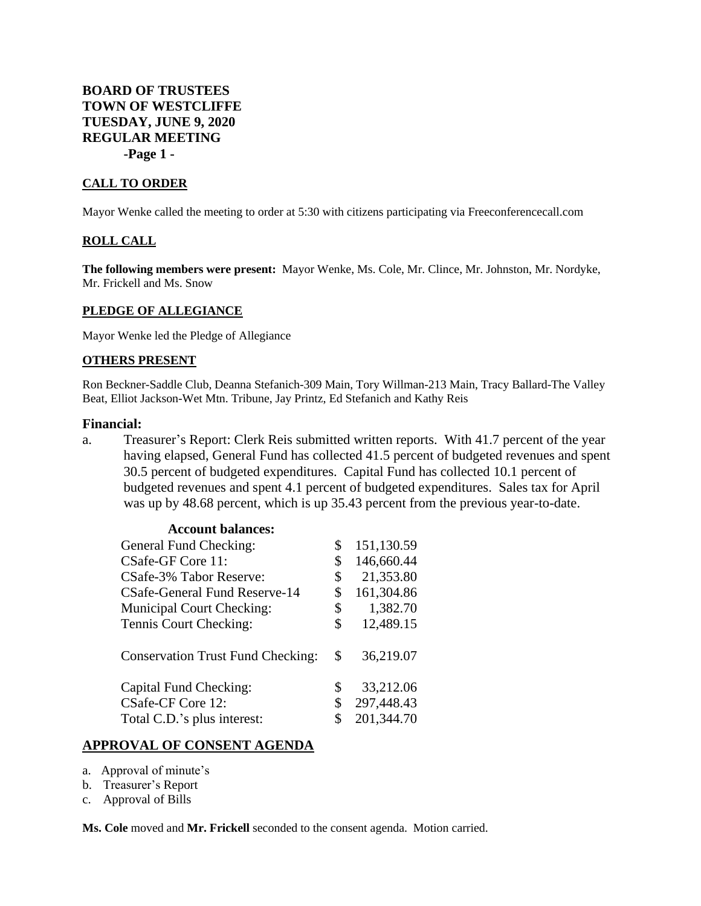**BOARD OF TRUSTEES TOWN OF WESTCLIFFE TUESDAY, JUNE 9, 2020 REGULAR MEETING -Page 1 -**

### **CALL TO ORDER**

Mayor Wenke called the meeting to order at 5:30 with citizens participating via Freeconferencecall.com

#### **ROLL CALL**

**The following members were present:** Mayor Wenke, Ms. Cole, Mr. Clince, Mr. Johnston, Mr. Nordyke, Mr. Frickell and Ms. Snow

#### **PLEDGE OF ALLEGIANCE**

Mayor Wenke led the Pledge of Allegiance

#### **OTHERS PRESENT**

Ron Beckner-Saddle Club, Deanna Stefanich-309 Main, Tory Willman-213 Main, Tracy Ballard-The Valley Beat, Elliot Jackson-Wet Mtn. Tribune, Jay Printz, Ed Stefanich and Kathy Reis

#### **Financial:**

a. Treasurer's Report: Clerk Reis submitted written reports. With 41.7 percent of the year having elapsed, General Fund has collected 41.5 percent of budgeted revenues and spent 30.5 percent of budgeted expenditures. Capital Fund has collected 10.1 percent of budgeted revenues and spent 4.1 percent of budgeted expenditures. Sales tax for April was up by 48.68 percent, which is up 35.43 percent from the previous year-to-date.

| <b>Account balances:</b>                 |                  |
|------------------------------------------|------------------|
| General Fund Checking:                   | \$<br>151,130.59 |
| CSafe-GF Core 11:                        | \$<br>146,660.44 |
| CSafe-3% Tabor Reserve:                  | \$<br>21,353.80  |
| CSafe-General Fund Reserve-14            | \$<br>161,304.86 |
| <b>Municipal Court Checking:</b>         | \$<br>1,382.70   |
| Tennis Court Checking:                   | \$<br>12,489.15  |
| <b>Conservation Trust Fund Checking:</b> | \$<br>36,219.07  |
| Capital Fund Checking:                   | \$<br>33,212.06  |
| CSafe-CF Core 12:                        | \$<br>297,448.43 |
| Total C.D.'s plus interest:              | \$<br>201,344.70 |

### **APPROVAL OF CONSENT AGENDA**

- a. Approval of minute's
- b. Treasurer's Report
- c. Approval of Bills

**Ms. Cole** moved and **Mr. Frickell** seconded to the consent agenda. Motion carried.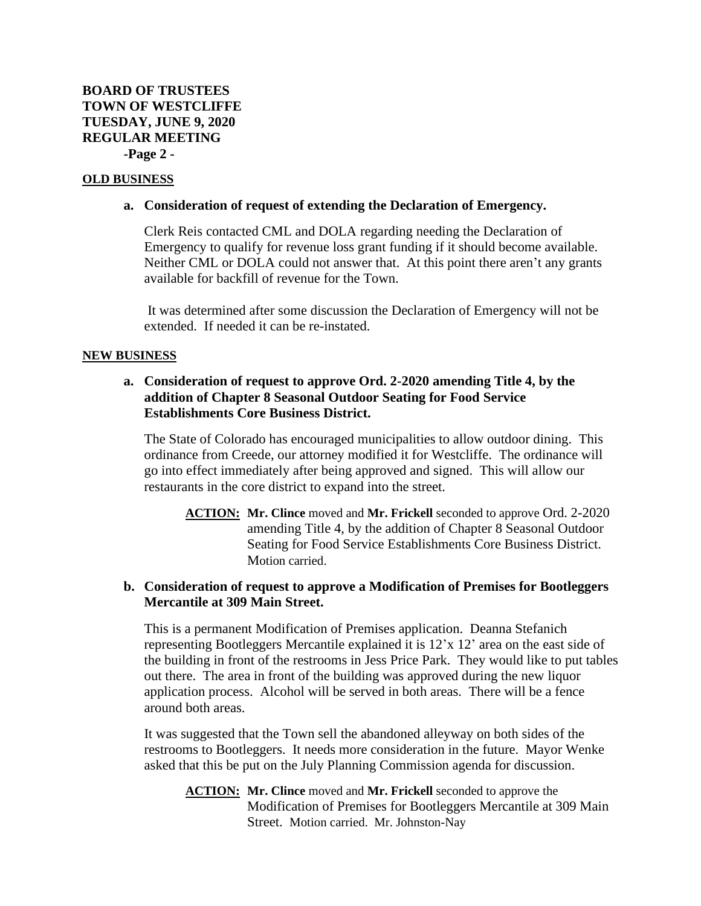## **OLD BUSINESS**

### **a. Consideration of request of extending the Declaration of Emergency.**

Clerk Reis contacted CML and DOLA regarding needing the Declaration of Emergency to qualify for revenue loss grant funding if it should become available. Neither CML or DOLA could not answer that. At this point there aren't any grants available for backfill of revenue for the Town.

It was determined after some discussion the Declaration of Emergency will not be extended. If needed it can be re-instated.

## **NEW BUSINESS**

# **a. Consideration of request to approve Ord. 2-2020 amending Title 4, by the addition of Chapter 8 Seasonal Outdoor Seating for Food Service Establishments Core Business District.**

The State of Colorado has encouraged municipalities to allow outdoor dining. This ordinance from Creede, our attorney modified it for Westcliffe. The ordinance will go into effect immediately after being approved and signed. This will allow our restaurants in the core district to expand into the street.

**ACTION: Mr. Clince** moved and **Mr. Frickell** seconded to approve Ord. 2-2020 amending Title 4, by the addition of Chapter 8 Seasonal Outdoor Seating for Food Service Establishments Core Business District. Motion carried.

# **b. Consideration of request to approve a Modification of Premises for Bootleggers Mercantile at 309 Main Street.**

This is a permanent Modification of Premises application. Deanna Stefanich representing Bootleggers Mercantile explained it is 12'x 12' area on the east side of the building in front of the restrooms in Jess Price Park. They would like to put tables out there. The area in front of the building was approved during the new liquor application process. Alcohol will be served in both areas. There will be a fence around both areas.

It was suggested that the Town sell the abandoned alleyway on both sides of the restrooms to Bootleggers. It needs more consideration in the future. Mayor Wenke asked that this be put on the July Planning Commission agenda for discussion.

**ACTION: Mr. Clince** moved and **Mr. Frickell** seconded to approve the Modification of Premises for Bootleggers Mercantile at 309 Main Street. Motion carried. Mr. Johnston-Nay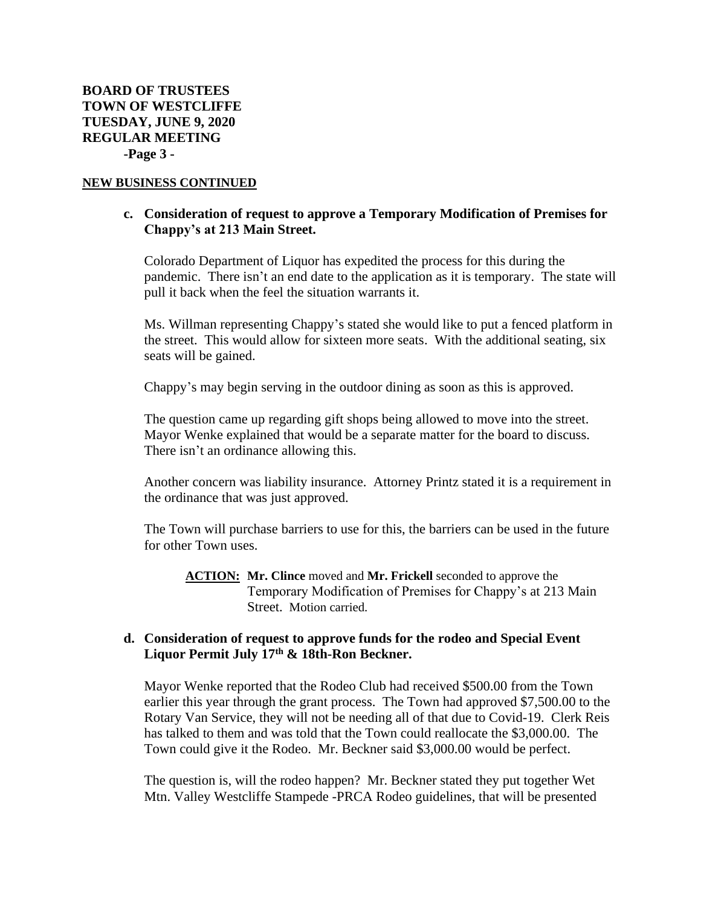# **c. Consideration of request to approve a Temporary Modification of Premises for Chappy's at 213 Main Street.**

Colorado Department of Liquor has expedited the process for this during the pandemic. There isn't an end date to the application as it is temporary. The state will pull it back when the feel the situation warrants it.

Ms. Willman representing Chappy's stated she would like to put a fenced platform in the street. This would allow for sixteen more seats. With the additional seating, six seats will be gained.

Chappy's may begin serving in the outdoor dining as soon as this is approved.

The question came up regarding gift shops being allowed to move into the street. Mayor Wenke explained that would be a separate matter for the board to discuss. There isn't an ordinance allowing this.

Another concern was liability insurance. Attorney Printz stated it is a requirement in the ordinance that was just approved.

The Town will purchase barriers to use for this, the barriers can be used in the future for other Town uses.

**ACTION: Mr. Clince** moved and **Mr. Frickell** seconded to approve the Temporary Modification of Premises for Chappy's at 213 Main Street. Motion carried.

## **d. Consideration of request to approve funds for the rodeo and Special Event Liquor Permit July 17th & 18th-Ron Beckner.**

Mayor Wenke reported that the Rodeo Club had received \$500.00 from the Town earlier this year through the grant process. The Town had approved \$7,500.00 to the Rotary Van Service, they will not be needing all of that due to Covid-19. Clerk Reis has talked to them and was told that the Town could reallocate the \$3,000.00. The Town could give it the Rodeo. Mr. Beckner said \$3,000.00 would be perfect.

The question is, will the rodeo happen? Mr. Beckner stated they put together Wet Mtn. Valley Westcliffe Stampede -PRCA Rodeo guidelines, that will be presented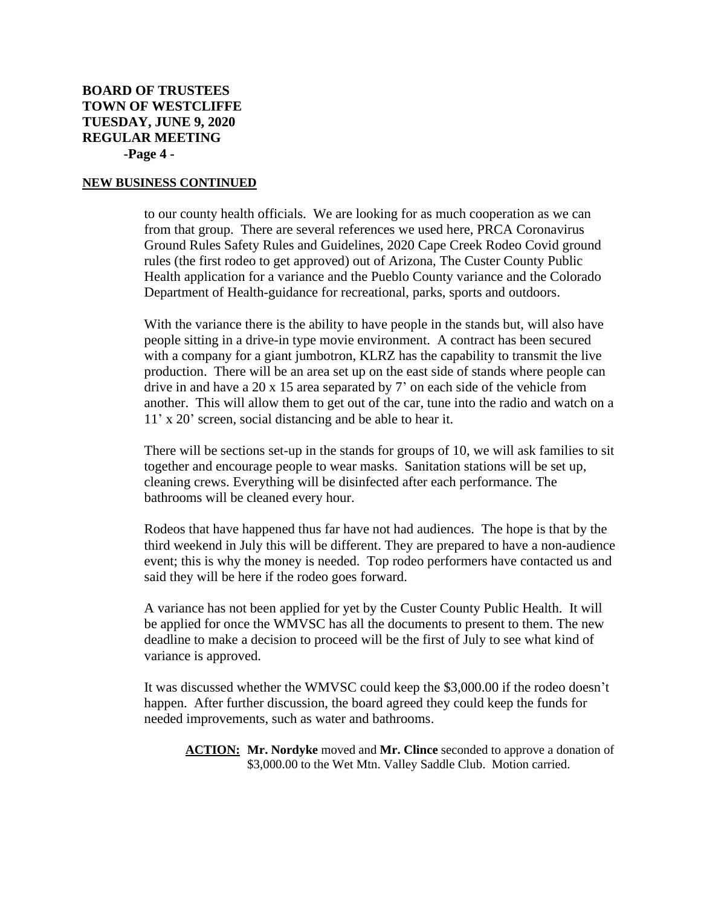# **BOARD OF TRUSTEES TOWN OF WESTCLIFFE TUESDAY, JUNE 9, 2020 REGULAR MEETING -Page 4 -**

#### **NEW BUSINESS CONTINUED**

to our county health officials. We are looking for as much cooperation as we can from that group. There are several references we used here, PRCA Coronavirus Ground Rules Safety Rules and Guidelines, 2020 Cape Creek Rodeo Covid ground rules (the first rodeo to get approved) out of Arizona, The Custer County Public Health application for a variance and the Pueblo County variance and the Colorado Department of Health-guidance for recreational, parks, sports and outdoors.

With the variance there is the ability to have people in the stands but, will also have people sitting in a drive-in type movie environment. A contract has been secured with a company for a giant jumbotron, KLRZ has the capability to transmit the live production. There will be an area set up on the east side of stands where people can drive in and have a  $20 \times 15$  area separated by 7' on each side of the vehicle from another. This will allow them to get out of the car, tune into the radio and watch on a 11' x 20' screen, social distancing and be able to hear it.

There will be sections set-up in the stands for groups of 10, we will ask families to sit together and encourage people to wear masks. Sanitation stations will be set up, cleaning crews. Everything will be disinfected after each performance. The bathrooms will be cleaned every hour.

Rodeos that have happened thus far have not had audiences. The hope is that by the third weekend in July this will be different. They are prepared to have a non-audience event; this is why the money is needed. Top rodeo performers have contacted us and said they will be here if the rodeo goes forward.

A variance has not been applied for yet by the Custer County Public Health. It will be applied for once the WMVSC has all the documents to present to them. The new deadline to make a decision to proceed will be the first of July to see what kind of variance is approved.

It was discussed whether the WMVSC could keep the \$3,000.00 if the rodeo doesn't happen. After further discussion, the board agreed they could keep the funds for needed improvements, such as water and bathrooms.

**ACTION: Mr. Nordyke** moved and **Mr. Clince** seconded to approve a donation of \$3,000.00 to the Wet Mtn. Valley Saddle Club. Motion carried.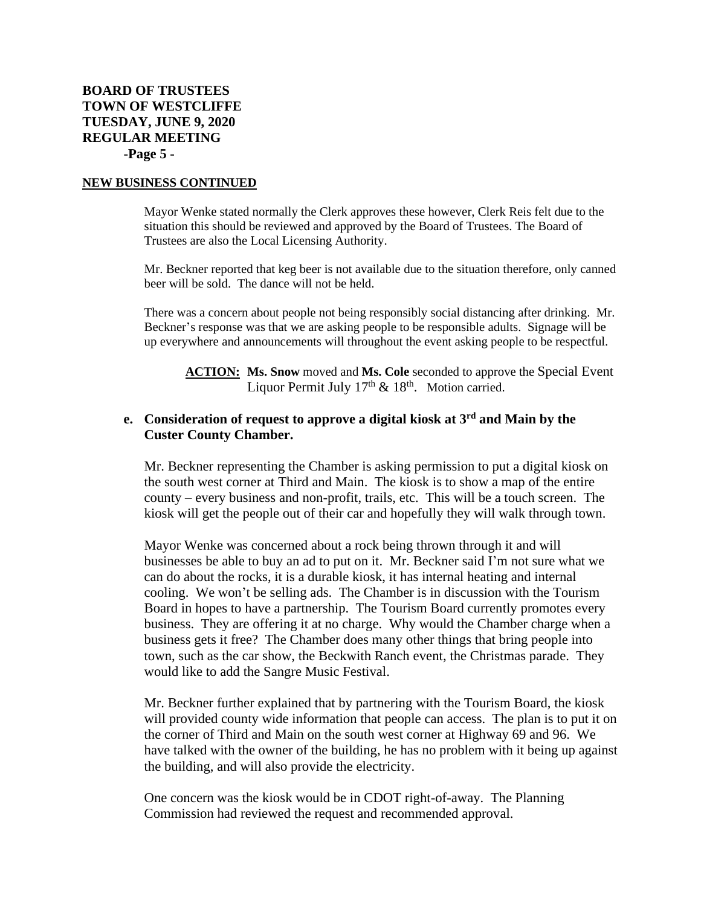# **BOARD OF TRUSTEES TOWN OF WESTCLIFFE TUESDAY, JUNE 9, 2020 REGULAR MEETING -Page 5 -**

#### **NEW BUSINESS CONTINUED**

Mayor Wenke stated normally the Clerk approves these however, Clerk Reis felt due to the situation this should be reviewed and approved by the Board of Trustees. The Board of Trustees are also the Local Licensing Authority.

Mr. Beckner reported that keg beer is not available due to the situation therefore, only canned beer will be sold. The dance will not be held.

There was a concern about people not being responsibly social distancing after drinking. Mr. Beckner's response was that we are asking people to be responsible adults. Signage will be up everywhere and announcements will throughout the event asking people to be respectful.

**ACTION: Ms. Snow** moved and **Ms. Cole** seconded to approve the Special Event Liquor Permit July  $17<sup>th</sup>$  &  $18<sup>th</sup>$ . Motion carried.

# **e. Consideration of request to approve a digital kiosk at 3rd and Main by the Custer County Chamber.**

Mr. Beckner representing the Chamber is asking permission to put a digital kiosk on the south west corner at Third and Main. The kiosk is to show a map of the entire county – every business and non-profit, trails, etc. This will be a touch screen. The kiosk will get the people out of their car and hopefully they will walk through town.

Mayor Wenke was concerned about a rock being thrown through it and will businesses be able to buy an ad to put on it. Mr. Beckner said I'm not sure what we can do about the rocks, it is a durable kiosk, it has internal heating and internal cooling. We won't be selling ads. The Chamber is in discussion with the Tourism Board in hopes to have a partnership. The Tourism Board currently promotes every business. They are offering it at no charge. Why would the Chamber charge when a business gets it free? The Chamber does many other things that bring people into town, such as the car show, the Beckwith Ranch event, the Christmas parade. They would like to add the Sangre Music Festival.

Mr. Beckner further explained that by partnering with the Tourism Board, the kiosk will provided county wide information that people can access. The plan is to put it on the corner of Third and Main on the south west corner at Highway 69 and 96. We have talked with the owner of the building, he has no problem with it being up against the building, and will also provide the electricity.

One concern was the kiosk would be in CDOT right-of-away. The Planning Commission had reviewed the request and recommended approval.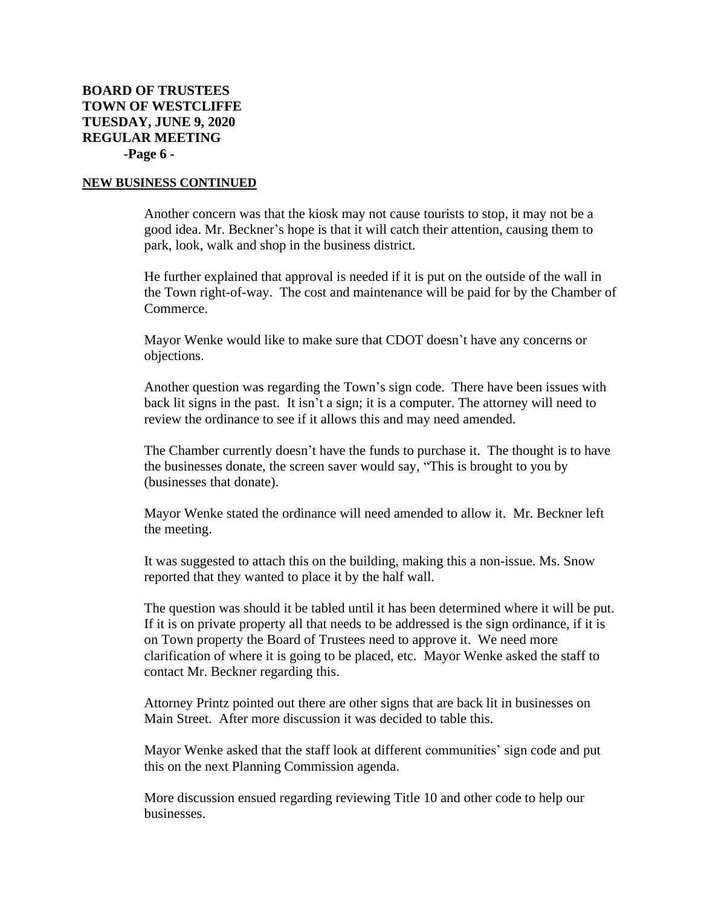Another concern was that the kiosk may not cause tourists to stop, it may not be a good idea. Mr. Beckner's hope is that it will catch their attention, causing them to park, look, walk and shop in the business district.

He further explained that approval is needed if it is put on the outside of the wall in the Town right-of-way. The cost and maintenance will be paid for by the Chamber of Commerce.

Mayor Wenke would like to make sure that CDOT doesn't have any concerns or objections.

Another question was regarding the Town's sign code. There have been issues with back lit signs in the past. It isn't a sign; it is a computer. The attorney will need to review the ordinance to see if it allows this and may need amended.

The Chamber currently doesn't have the funds to purchase it. The thought is to have the businesses donate, the screen saver would say, "This is brought to you by (businesses that donate).

Mayor Wenke stated the ordinance will need amended to allow it. Mr. Beckner left the meeting.

It was suggested to attach this on the building, making this a non-issue. Ms. Snow reported that they wanted to place it by the half wall.

The question was should it be tabled until it has been determined where it will be put. If it is on private property all that needs to be addressed is the sign ordinance, if it is on Town property the Board of Trustees need to approve it. We need more clarification of where it is going to be placed, etc. Mayor Wenke asked the staff to contact Mr. Beckner regarding this.

Attorney Printz pointed out there are other signs that are back lit in businesses on Main Street. After more discussion it was decided to table this.

Mayor Wenke asked that the staff look at different communities' sign code and put this on the next Planning Commission agenda.

More discussion ensued regarding reviewing Title 10 and other code to help our businesses.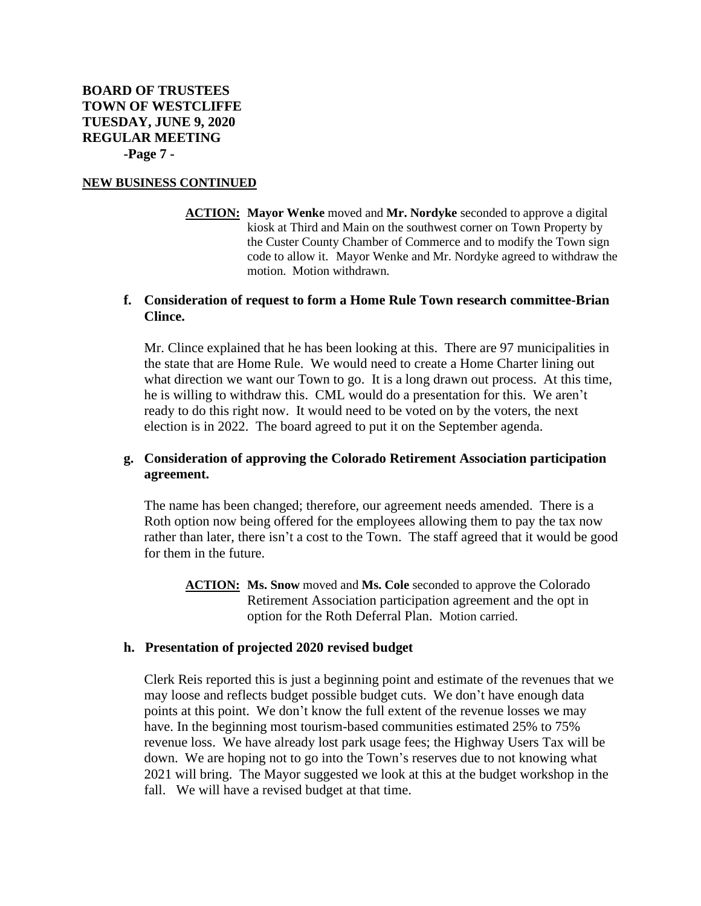**ACTION: Mayor Wenke** moved and **Mr. Nordyke** seconded to approve a digital kiosk at Third and Main on the southwest corner on Town Property by the Custer County Chamber of Commerce and to modify the Town sign code to allow it. Mayor Wenke and Mr. Nordyke agreed to withdraw the motion. Motion withdrawn.

## **f. Consideration of request to form a Home Rule Town research committee-Brian Clince.**

Mr. Clince explained that he has been looking at this. There are 97 municipalities in the state that are Home Rule. We would need to create a Home Charter lining out what direction we want our Town to go. It is a long drawn out process. At this time, he is willing to withdraw this. CML would do a presentation for this. We aren't ready to do this right now. It would need to be voted on by the voters, the next election is in 2022. The board agreed to put it on the September agenda.

# **g. Consideration of approving the Colorado Retirement Association participation agreement.**

The name has been changed; therefore, our agreement needs amended. There is a Roth option now being offered for the employees allowing them to pay the tax now rather than later, there isn't a cost to the Town. The staff agreed that it would be good for them in the future.

**ACTION: Ms. Snow** moved and **Ms. Cole** seconded to approve the Colorado Retirement Association participation agreement and the opt in option for the Roth Deferral Plan. Motion carried.

### **h. Presentation of projected 2020 revised budget**

Clerk Reis reported this is just a beginning point and estimate of the revenues that we may loose and reflects budget possible budget cuts. We don't have enough data points at this point. We don't know the full extent of the revenue losses we may have. In the beginning most tourism-based communities estimated 25% to 75% revenue loss. We have already lost park usage fees; the Highway Users Tax will be down. We are hoping not to go into the Town's reserves due to not knowing what 2021 will bring. The Mayor suggested we look at this at the budget workshop in the fall. We will have a revised budget at that time.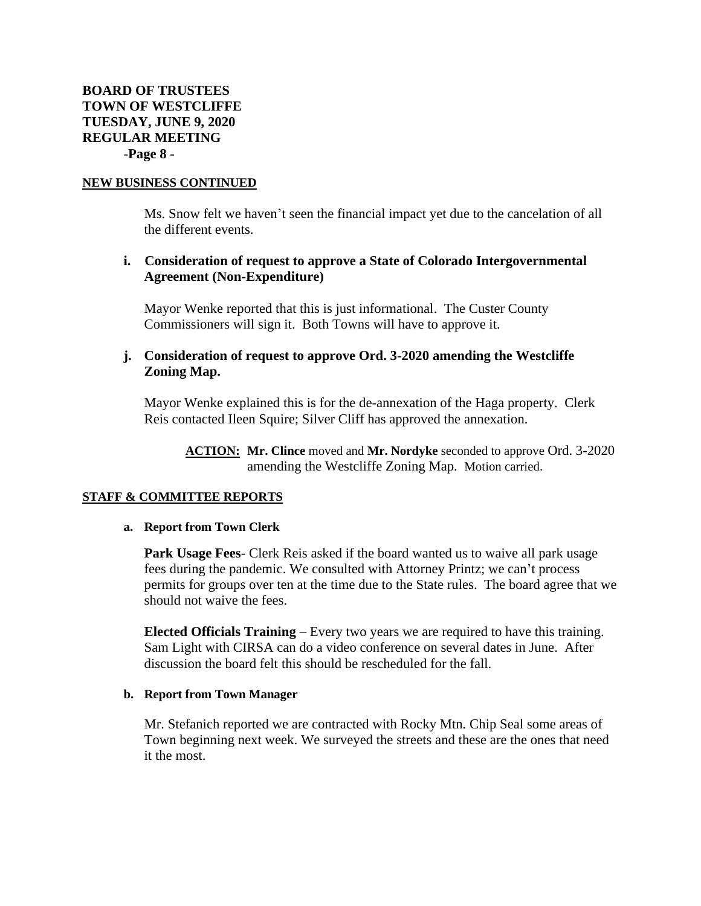Ms. Snow felt we haven't seen the financial impact yet due to the cancelation of all the different events.

# **i. Consideration of request to approve a State of Colorado Intergovernmental Agreement (Non-Expenditure)**

Mayor Wenke reported that this is just informational. The Custer County Commissioners will sign it. Both Towns will have to approve it.

# **j. Consideration of request to approve Ord. 3-2020 amending the Westcliffe Zoning Map.**

Mayor Wenke explained this is for the de-annexation of the Haga property. Clerk Reis contacted Ileen Squire; Silver Cliff has approved the annexation.

**ACTION: Mr. Clince** moved and **Mr. Nordyke** seconded to approve Ord. 3-2020 amending the Westcliffe Zoning Map. Motion carried.

### **STAFF & COMMITTEE REPORTS**

#### **a. Report from Town Clerk**

**Park Usage Fees**- Clerk Reis asked if the board wanted us to waive all park usage fees during the pandemic. We consulted with Attorney Printz; we can't process permits for groups over ten at the time due to the State rules. The board agree that we should not waive the fees.

**Elected Officials Training** – Every two years we are required to have this training. Sam Light with CIRSA can do a video conference on several dates in June. After discussion the board felt this should be rescheduled for the fall.

### **b. Report from Town Manager**

Mr. Stefanich reported we are contracted with Rocky Mtn. Chip Seal some areas of Town beginning next week. We surveyed the streets and these are the ones that need it the most.